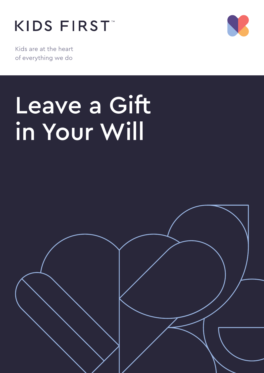## KIDS FIRST



Kids are at the heart of everything we do

# Leave a Gift in Your Will

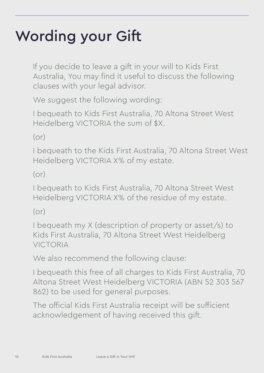### Wording your Gift

If you decide to leave a gift in your will to Kids First Australia, You may find it useful to discuss the following clauses with your legal advisor.

We suggest the following wording:

I bequeath to Kids First Australia, 70 Altona Street West Heidelberg VICTORIA the sum of \$X.

(or)

I bequeath to the Kids First Australia, 70 Altona Street West Heidelberg VICTORIA X% of my estate.

(or)

I bequeath to Kids First Australia, 70 Altona Street West Heidelberg VICTORIA X% of the residue of my estate.

(or)

I bequeath my X (description of property or asset/s) to Kids First Australia, 70 Altona Street West Heidelberg VICTORIA

We also recommend the following clause:

I bequeath this free of all charges to Kids First Australia, 70 Altona Street West Heidelberg VICTORIA (ABN 52 303 567 862) to be used for general purposes.

The official Kids First Australia receipt will be sufficient acknowledgement of having received this gift.